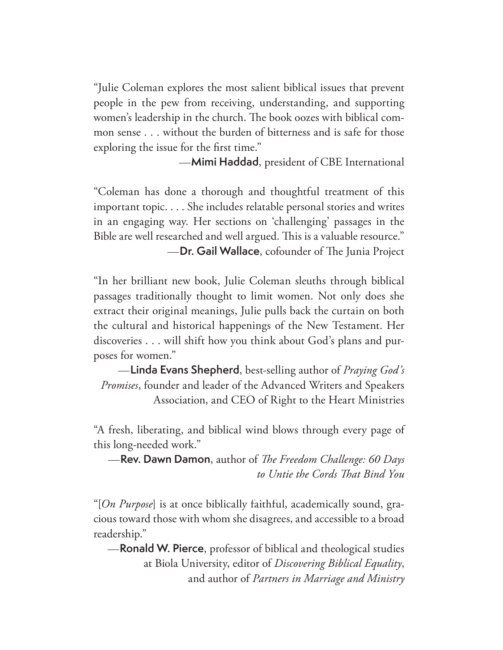"Julie Coleman explores the most salient biblical issues that prevent people in the pew from receiving, understanding, and supporting women's leadership in the church. The book oozes with biblical common sense . . . without the burden of bitterness and is safe for those exploring the issue for the first time."

—**Mimi Haddad**, president of CBE International

"Coleman has done a thorough and thoughtful treatment of this important topic. . . . She includes relatable personal stories and writes in an engaging way. Her sections on 'challenging' passages in the Bible are well researched and well argued. This is a valuable resource." -Dr. Gail Wallace, cofounder of The Junia Project

"In her brilliant new book, Julie Coleman sleuths through biblical passages traditionally thought to limit women. Not only does she extract their original meanings, Julie pulls back the curtain on both the cultural and historical happenings of the New Testament. Her discoveries . . . will shift how you think about God's plans and purposes for women."

—**Linda Evans Shepherd**, best-selling author of *Praying God's Promises*, founder and leader of the Advanced Writers and Speakers Association, and CEO of Right to the Heart Ministries

"A fresh, liberating, and biblical wind blows through every page of this long-needed work."

—**Rev. Dawn Damon**, author of *!e Freedom Challenge: 60 Days*  to Untie the Cords That Bind You

"[*On Purpose*] is at once biblically faithful, academically sound, gracious toward those with whom she disagrees, and accessible to a broad readership."

—**Ronald W. Pierce**, professor of biblical and theological studies at Biola University, editor of *Discovering Biblical Equality*, and author of *Partners in Marriage and Ministry*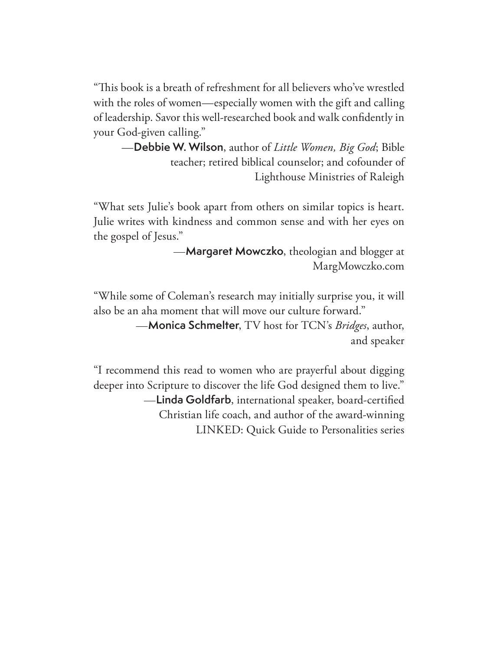"This book is a breath of refreshment for all believers who've wrestled with the roles of women—especially women with the gift and calling of leadership. Savor this well-researched book and walk confidently in your God-given calling."

 —**Debbie W. Wilson**, author of *Little Women, Big God*; Bible teacher; retired biblical counselor; and cofounder of Lighthouse Ministries of Raleigh

"What sets Julie's book apart from others on similar topics is heart. Julie writes with kindness and common sense and with her eyes on the gospel of Jesus."

> —**Margaret Mowczko**, theologian and blogger at MargMowczko.com

"While some of Coleman's research may initially surprise you, it will also be an aha moment that will move our culture forward."

> —**Monica Schmelter**, TV host for TCN's *Bridges*, author, and speaker

"I recommend this read to women who are prayerful about digging deeper into Scripture to discover the life God designed them to live." -Linda Goldfarb, international speaker, board-certified Christian life coach, and author of the award-winning LINKED: Quick Guide to Personalities series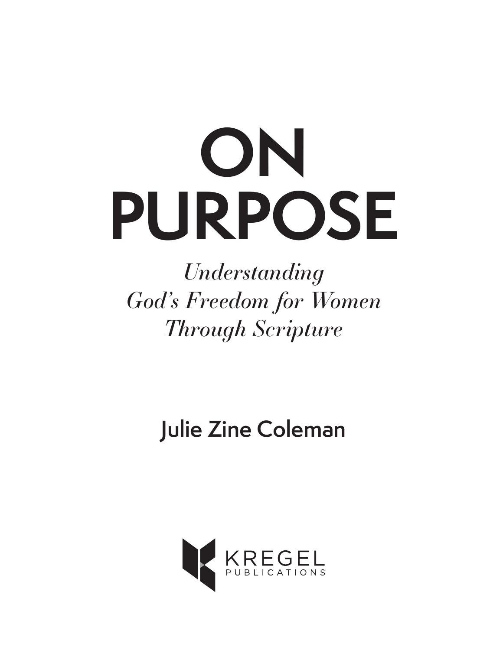# **ON PURPOSE**

*Understanding God's Freedom for Women Through Scripture*

# **Julie Zine Coleman**

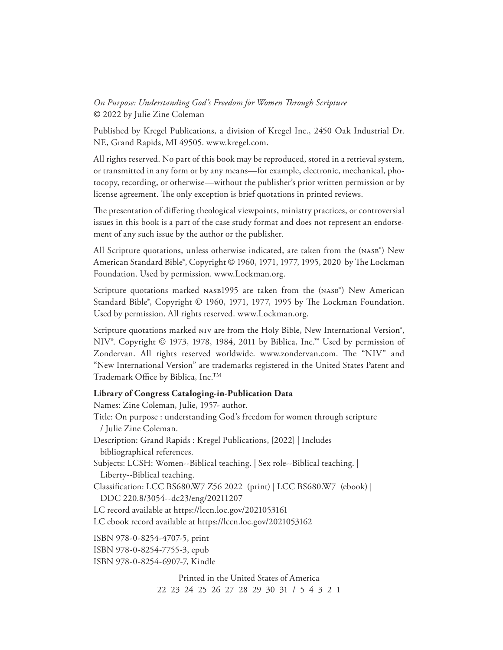# **On Purpose: Understanding God's Freedom for Women Through Scripture** © 2022 by Julie Zine Coleman

Published by Kregel Publications, a division of Kregel Inc., 2450 Oak Industrial Dr. NE, Grand Rapids, MI 49505. www.kregel.com.

All rights reserved. No part of this book may be reproduced, stored in a retrieval system, or transmitted in any form or by any means—for example, electronic, mechanical, photocopy, recording, or otherwise—without the publisher's prior written permission or by license agreement. The only exception is brief quotations in printed reviews.

The presentation of differing theological viewpoints, ministry practices, or controversial issues in this book is a part of the case study format and does not represent an endorsement of any such issue by the author or the publisher.

All Scripture quotations, unless otherwise indicated, are taken from the  $(NASB<sup>®</sup>)$  New American Standard Bible®, Copyright © 1960, 1971, 1977, 1995, 2020 by The Lockman Foundation. Used by permission. www.Lockman.org.

Scripture quotations marked NASB1995 are taken from the (NASB®) New American Standard Bible®, Copyright © 1960, 1971, 1977, 1995 by The Lockman Foundation. Used by permission. All rights reserved. www.Lockman.org.

Scripture quotations marked NIV are from the Holy Bible, New International Version<sup>®</sup>, NIV®. Copyright © 1973, 1978, 1984, 2011 by Biblica, Inc.™ Used by permission of Zondervan. All rights reserved worldwide. www.zondervan.com. The "NIV" and "New International Version" are trademarks registered in the United States Patent and Trademark Office by Biblica, Inc.<sup>TM</sup>

### **Library of Congress Cataloging-in-Publication Data**

Names: Zine Coleman, Julie, 1957- author. Title: On purpose : understanding God's freedom for women through scripture / Julie Zine Coleman. Description: Grand Rapids : Kregel Publications, [2022] | Includes bibliographical references. Subjects: LCSH: Women--Biblical teaching. | Sex role--Biblical teaching. | Liberty--Biblical teaching. Classification: LCC BS680.W7 Z56 2022 (print) | LCC BS680.W7 (ebook) | DDC 220.8/3054--dc23/eng/20211207 LC record available at https://lccn.loc.gov/2021053161 LC ebook record available at https://lccn.loc.gov/2021053162

ISBN 978-0-8254-4707-5, print ISBN 978-0-8254-7755-3, epub ISBN 978-0-8254-6907-7, Kindle

> Printed in the United States of America 22 23 24 25 26 27 28 29 30 31 / 5 4 3 2 1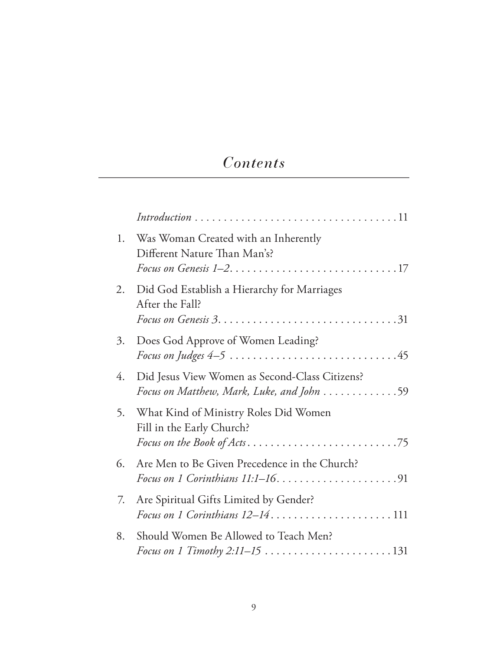# *Contents*

| 1. | Was Woman Created with an Inherently<br>Different Nature Than Man's?                                                                                             |
|----|------------------------------------------------------------------------------------------------------------------------------------------------------------------|
| 2. | Did God Establish a Hierarchy for Marriages<br>After the Fall?<br>Focus on Genesis $3. \ldots \ldots \ldots \ldots \ldots \ldots \ldots \ldots \ldots \ldots 31$ |
| 3. | Does God Approve of Women Leading?<br>Focus on Judges $4-5$ 45                                                                                                   |
| 4. | Did Jesus View Women as Second-Class Citizens?<br>Focus on Matthew, Mark, Luke, and John 59                                                                      |
| 5. | What Kind of Ministry Roles Did Women<br>Fill in the Early Church?                                                                                               |
| 6. | Are Men to Be Given Precedence in the Church?                                                                                                                    |
| 7. | Are Spiritual Gifts Limited by Gender?<br>Focus on 1 Corinthians $12-14$ 111                                                                                     |
| 8. | Should Women Be Allowed to Teach Men?<br>Focus on 1 Timothy 2:11–15 $\ldots \ldots \ldots \ldots \ldots \ldots \ldots 131$                                       |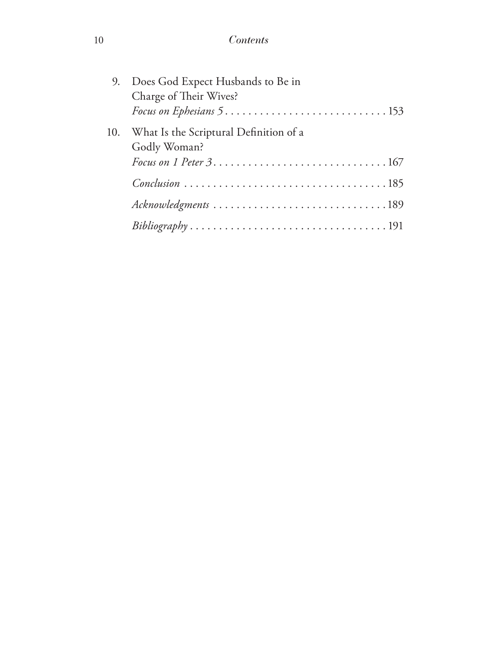10 *Contents*

|     | 9. Does God Expect Husbands to Be in<br>Charge of Their Wives?<br>Focus on Ephesians $5 \ldots \ldots \ldots \ldots \ldots \ldots \ldots \ldots \ldots 153$ |
|-----|-------------------------------------------------------------------------------------------------------------------------------------------------------------|
| 10. | What Is the Scriptural Definition of a<br>Godly Woman?                                                                                                      |
|     |                                                                                                                                                             |
|     |                                                                                                                                                             |
|     | $Bibliography \ldots \ldots \ldots \ldots \ldots \ldots \ldots \ldots \ldots \ldots \ldots \ldots 191$                                                      |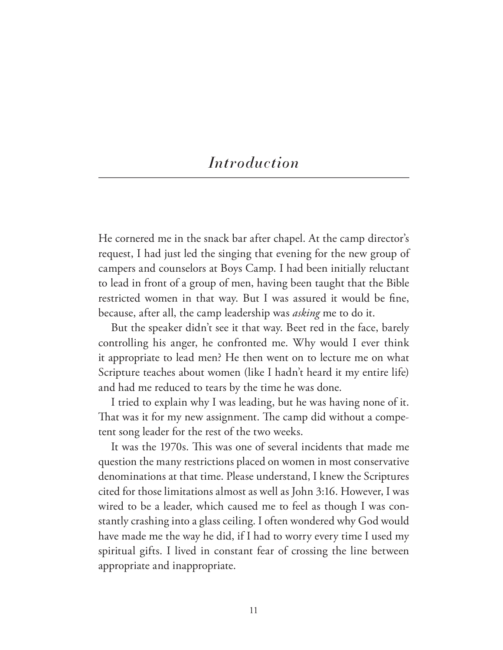# *Introduction*

He cornered me in the snack bar after chapel. At the camp director's request, I had just led the singing that evening for the new group of campers and counselors at Boys Camp. I had been initially reluctant to lead in front of a group of men, having been taught that the Bible restricted women in that way. But I was assured it would be fine, because, after all, the camp leadership was *asking* me to do it.

But the speaker didn't see it that way. Beet red in the face, barely controlling his anger, he confronted me. Why would I ever think it appropriate to lead men? He then went on to lecture me on what Scripture teaches about women (like I hadn't heard it my entire life) and had me reduced to tears by the time he was done.

I tried to explain why I was leading, but he was having none of it. That was it for my new assignment. The camp did without a competent song leader for the rest of the two weeks.

It was the 1970s. This was one of several incidents that made me question the many restrictions placed on women in most conservative denominations at that time. Please understand, I knew the Scriptures cited for those limitations almost as well as John 3:16. However, I was wired to be a leader, which caused me to feel as though I was constantly crashing into a glass ceiling. I often wondered why God would have made me the way he did, if I had to worry every time I used my spiritual gifts. I lived in constant fear of crossing the line between appropriate and inappropriate.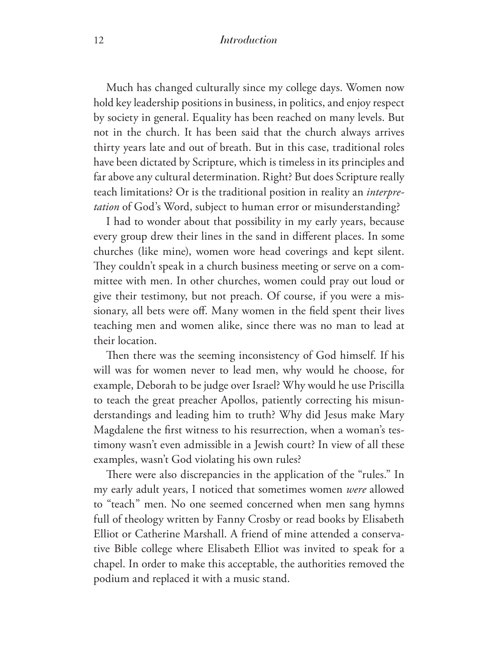# 12 *Introduction*

Much has changed culturally since my college days. Women now hold key leadership positions in business, in politics, and enjoy respect by society in general. Equality has been reached on many levels. But not in the church. It has been said that the church always arrives thirty years late and out of breath. But in this case, traditional roles have been dictated by Scripture, which is timeless in its principles and far above any cultural determination. Right? But does Scripture really teach limitations? Or is the traditional position in reality an *interpretation* of God's Word, subject to human error or misunderstanding?

I had to wonder about that possibility in my early years, because every group drew their lines in the sand in different places. In some churches (like mine), women wore head coverings and kept silent. They couldn't speak in a church business meeting or serve on a committee with men. In other churches, women could pray out loud or give their testimony, but not preach. Of course, if you were a missionary, all bets were off. Many women in the field spent their lives teaching men and women alike, since there was no man to lead at their location.

Then there was the seeming inconsistency of God himself. If his will was for women never to lead men, why would he choose, for example, Deborah to be judge over Israel? Why would he use Priscilla to teach the great preacher Apollos, patiently correcting his misunderstandings and leading him to truth? Why did Jesus make Mary Magdalene the first witness to his resurrection, when a woman's testimony wasn't even admissible in a Jewish court? In view of all these examples, wasn't God violating his own rules?

There were also discrepancies in the application of the "rules." In my early adult years, I noticed that sometimes women *were* allowed to "teach" men. No one seemed concerned when men sang hymns full of theology written by Fanny Crosby or read books by Elisabeth Elliot or Catherine Marshall. A friend of mine attended a conservative Bible college where Elisabeth Elliot was invited to speak for a chapel. In order to make this acceptable, the authorities removed the podium and replaced it with a music stand.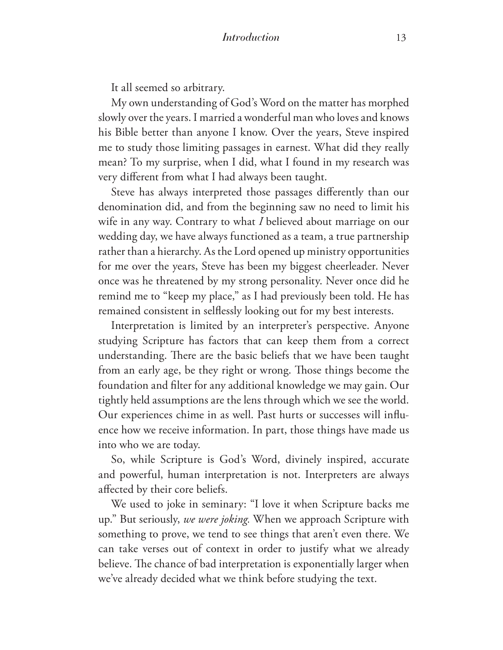It all seemed so arbitrary.

My own understanding of God's Word on the matter has morphed slowly over the years. I married a wonderful man who loves and knows his Bible better than anyone I know. Over the years, Steve inspired me to study those limiting passages in earnest. What did they really mean? To my surprise, when I did, what I found in my research was very different from what I had always been taught.

Steve has always interpreted those passages differently than our denomination did, and from the beginning saw no need to limit his wife in any way. Contrary to what *I* believed about marriage on our wedding day, we have always functioned as a team, a true partnership rather than a hierarchy. As the Lord opened up ministry opportunities for me over the years, Steve has been my biggest cheerleader. Never once was he threatened by my strong personality. Never once did he remind me to "keep my place," as I had previously been told. He has remained consistent in selflessly looking out for my best interests.

Interpretation is limited by an interpreter's perspective. Anyone studying Scripture has factors that can keep them from a correct understanding. There are the basic beliefs that we have been taught from an early age, be they right or wrong. Those things become the foundation and filter for any additional knowledge we may gain. Our tightly held assumptions are the lens through which we see the world. Our experiences chime in as well. Past hurts or successes will influence how we receive information. In part, those things have made us into who we are today.

So, while Scripture is God's Word, divinely inspired, accurate and powerful, human interpretation is not. Interpreters are always affected by their core beliefs.

We used to joke in seminary: "I love it when Scripture backs me up." But seriously, *we were joking*. When we approach Scripture with something to prove, we tend to see things that aren't even there. We can take verses out of context in order to justify what we already believe. The chance of bad interpretation is exponentially larger when we've already decided what we think before studying the text.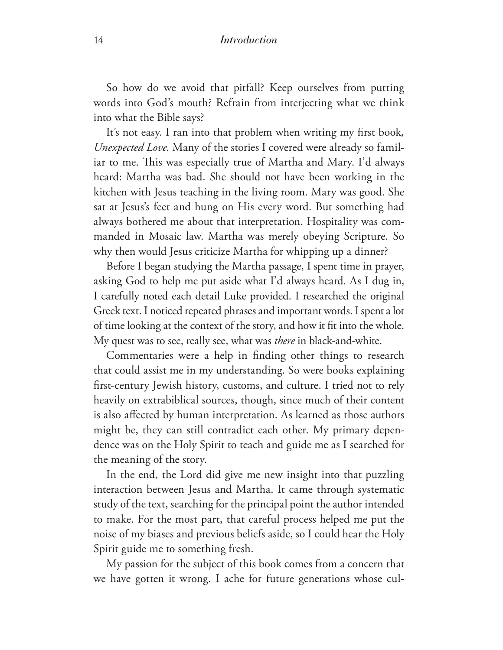# 14 *Introduction*

So how do we avoid that pitfall? Keep ourselves from putting words into God's mouth? Refrain from interjecting what we think into what the Bible says?

It's not easy. I ran into that problem when writing my first book, *Unexpected Love.* Many of the stories I covered were already so familiar to me. This was especially true of Martha and Mary. I'd always heard: Martha was bad. She should not have been working in the kitchen with Jesus teaching in the living room. Mary was good. She sat at Jesus's feet and hung on His every word. But something had always bothered me about that interpretation. Hospitality was commanded in Mosaic law. Martha was merely obeying Scripture. So why then would Jesus criticize Martha for whipping up a dinner?

Before I began studying the Martha passage, I spent time in prayer, asking God to help me put aside what I'd always heard. As I dug in, I carefully noted each detail Luke provided. I researched the original Greek text. I noticed repeated phrases and important words. I spent a lot of time looking at the context of the story, and how it fit into the whole. My quest was to see, really see, what was *there* in black-and-white.

Commentaries were a help in finding other things to research that could assist me in my understanding. So were books explaining first-century Jewish history, customs, and culture. I tried not to rely heavily on extrabiblical sources, though, since much of their content is also affected by human interpretation. As learned as those authors might be, they can still contradict each other. My primary dependence was on the Holy Spirit to teach and guide me as I searched for the meaning of the story.

In the end, the Lord did give me new insight into that puzzling interaction between Jesus and Martha. It came through systematic study of the text, searching for the principal point the author intended to make. For the most part, that careful process helped me put the noise of my biases and previous beliefs aside, so I could hear the Holy Spirit guide me to something fresh.

My passion for the subject of this book comes from a concern that we have gotten it wrong. I ache for future generations whose cul-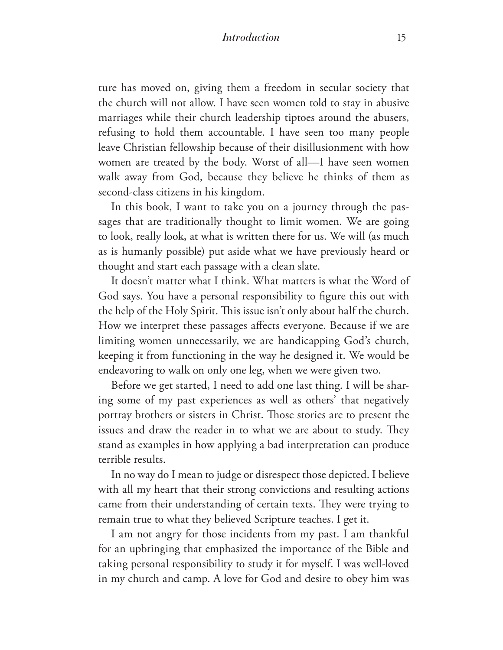# *Introduction* 15

ture has moved on, giving them a freedom in secular society that the church will not allow. I have seen women told to stay in abusive marriages while their church leadership tiptoes around the abusers, refusing to hold them accountable. I have seen too many people leave Christian fellowship because of their disillusionment with how women are treated by the body. Worst of all—I have seen women walk away from God, because they believe he thinks of them as second-class citizens in his kingdom.

In this book, I want to take you on a journey through the passages that are traditionally thought to limit women. We are going to look, really look, at what is written there for us. We will (as much as is humanly possible) put aside what we have previously heard or thought and start each passage with a clean slate.

It doesn't matter what I think. What matters is what the Word of God says. You have a personal responsibility to figure this out with the help of the Holy Spirit. This issue isn't only about half the church. How we interpret these passages affects everyone. Because if we are limiting women unnecessarily, we are handicapping God's church, keeping it from functioning in the way he designed it. We would be endeavoring to walk on only one leg, when we were given two.

Before we get started, I need to add one last thing. I will be sharing some of my past experiences as well as others' that negatively portray brothers or sisters in Christ. Those stories are to present the issues and draw the reader in to what we are about to study. They stand as examples in how applying a bad interpretation can produce terrible results.

In no way do I mean to judge or disrespect those depicted. I believe with all my heart that their strong convictions and resulting actions came from their understanding of certain texts. They were trying to remain true to what they believed Scripture teaches. I get it.

I am not angry for those incidents from my past. I am thankful for an upbringing that emphasized the importance of the Bible and taking personal responsibility to study it for myself. I was well-loved in my church and camp. A love for God and desire to obey him was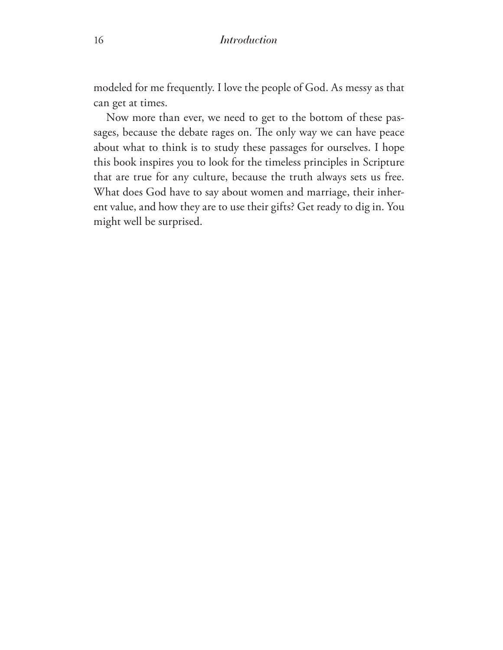modeled for me frequently. I love the people of God. As messy as that can get at times.

Now more than ever, we need to get to the bottom of these passages, because the debate rages on. The only way we can have peace about what to think is to study these passages for ourselves. I hope this book inspires you to look for the timeless principles in Scripture that are true for any culture, because the truth always sets us free. What does God have to say about women and marriage, their inherent value, and how they are to use their gifts? Get ready to dig in. You might well be surprised.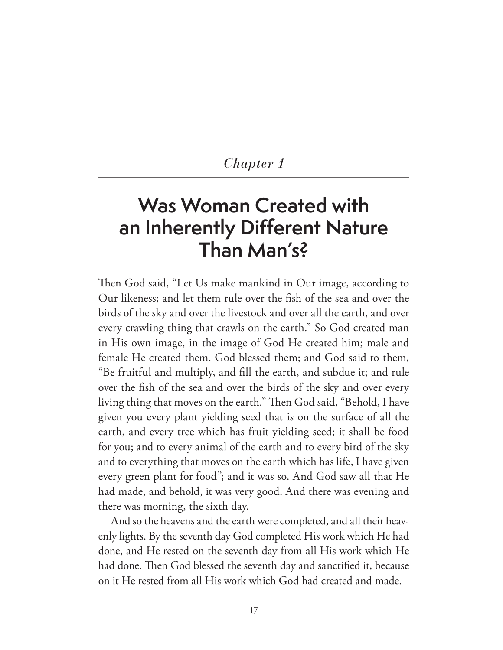# *Chapter 1*

# **Was Woman Created with an Inherently Different Nature Than Man's?**

Then God said, "Let Us make mankind in Our image, according to Our likeness; and let them rule over the fish of the sea and over the birds of the sky and over the livestock and over all the earth, and over every crawling thing that crawls on the earth." So God created man in His own image, in the image of God He created him; male and female He created them. God blessed them; and God said to them, "Be fruitful and multiply, and fill the earth, and subdue it; and rule over the fish of the sea and over the birds of the sky and over every living thing that moves on the earth." Then God said, "Behold, I have given you every plant yielding seed that is on the surface of all the earth, and every tree which has fruit yielding seed; it shall be food for you; and to every animal of the earth and to every bird of the sky and to everything that moves on the earth which has life, I have given every green plant for food"; and it was so. And God saw all that He had made, and behold, it was very good. And there was evening and there was morning, the sixth day.

And so the heavens and the earth were completed, and all their heavenly lights. By the seventh day God completed His work which He had done, and He rested on the seventh day from all His work which He had done. Then God blessed the seventh day and sanctified it, because on it He rested from all His work which God had created and made.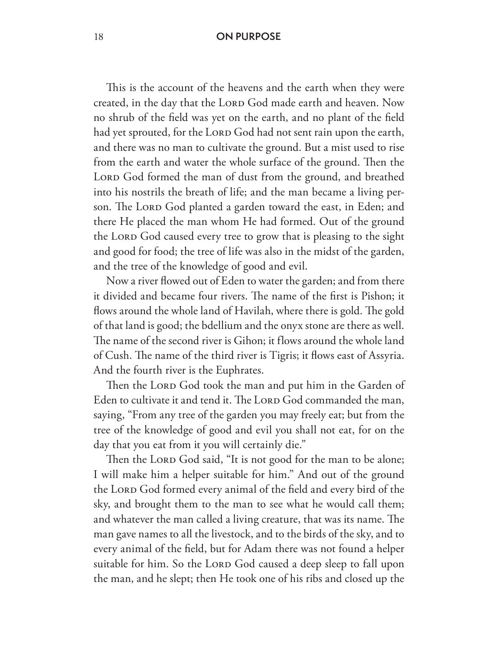## 18 **ON PURPOSE**

This is the account of the heavens and the earth when they were created, in the day that the LORD God made earth and heaven. Now no shrub of the field was yet on the earth, and no plant of the field had yet sprouted, for the LORD God had not sent rain upon the earth, and there was no man to cultivate the ground. But a mist used to rise from the earth and water the whole surface of the ground. Then the LORD God formed the man of dust from the ground, and breathed into his nostrils the breath of life; and the man became a living person. The Lorp God planted a garden toward the east, in Eden; and there He placed the man whom He had formed. Out of the ground the LORD God caused every tree to grow that is pleasing to the sight and good for food; the tree of life was also in the midst of the garden, and the tree of the knowledge of good and evil.

Now a river flowed out of Eden to water the garden; and from there it divided and became four rivers. The name of the first is Pishon; it flows around the whole land of Havilah, where there is gold. The gold of that land is good; the bdellium and the onyx stone are there as well. The name of the second river is Gihon; it flows around the whole land of Cush. The name of the third river is Tigris; it flows east of Assyria. And the fourth river is the Euphrates.

Then the Lorp God took the man and put him in the Garden of Eden to cultivate it and tend it. The LORD God commanded the man, saying, "From any tree of the garden you may freely eat; but from the tree of the knowledge of good and evil you shall not eat, for on the day that you eat from it you will certainly die."

Then the Lorp God said, "It is not good for the man to be alone; I will make him a helper suitable for him." And out of the ground the LORD God formed every animal of the field and every bird of the sky, and brought them to the man to see what he would call them; and whatever the man called a living creature, that was its name. The man gave names to all the livestock, and to the birds of the sky, and to every animal of the field, but for Adam there was not found a helper suitable for him. So the LORD God caused a deep sleep to fall upon the man, and he slept; then He took one of his ribs and closed up the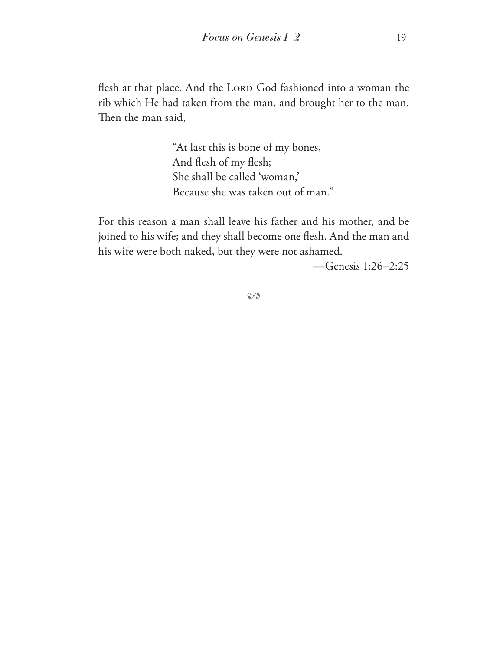flesh at that place. And the LORD God fashioned into a woman the rib which He had taken from the man, and brought her to the man. Then the man said,

> "At last this is bone of my bones, And flesh of my flesh; She shall be called 'woman,' Because she was taken out of man."

For this reason a man shall leave his father and his mother, and be joined to his wife; and they shall become one flesh. And the man and his wife were both naked, but they were not ashamed.

—Genesis 1:26–2:25

e A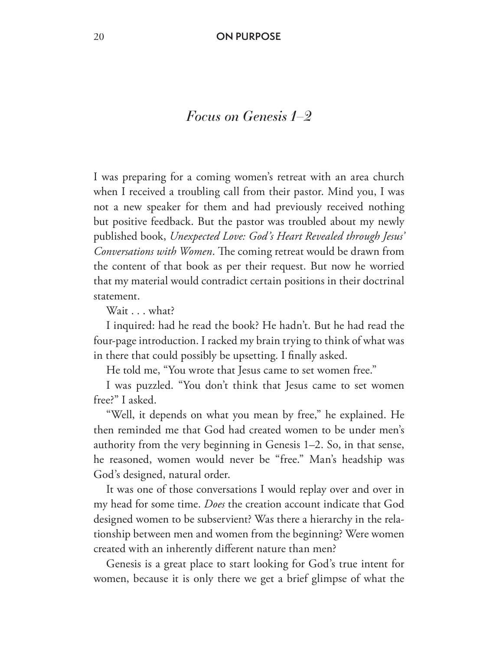# *Focus on Genesis 1–2*

I was preparing for a coming women's retreat with an area church when I received a troubling call from their pastor. Mind you, I was not a new speaker for them and had previously received nothing but positive feedback. But the pastor was troubled about my newly published book, *Unexpected Love: God's Heart Revealed through Jesus' Conversations with Women*. The coming retreat would be drawn from the content of that book as per their request. But now he worried that my material would contradict certain positions in their doctrinal statement.

Wait . . . what?

I inquired: had he read the book? He hadn't. But he had read the four-page introduction. I racked my brain trying to think of what was in there that could possibly be upsetting. I finally asked.

He told me, "You wrote that Jesus came to set women free."

I was puzzled. "You don't think that Jesus came to set women free?" I asked.

"Well, it depends on what you mean by free," he explained. He then reminded me that God had created women to be under men's authority from the very beginning in Genesis 1–2. So, in that sense, he reasoned, women would never be "free." Man's headship was God's designed, natural order.

It was one of those conversations I would replay over and over in my head for some time. *Does* the creation account indicate that God designed women to be subservient? Was there a hierarchy in the relationship between men and women from the beginning? Were women created with an inherently different nature than men?

Genesis is a great place to start looking for God's true intent for women, because it is only there we get a brief glimpse of what the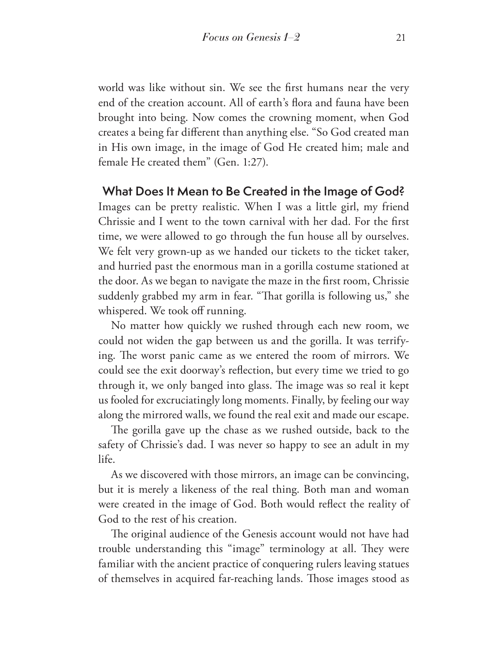world was like without sin. We see the first humans near the very end of the creation account. All of earth's flora and fauna have been brought into being. Now comes the crowning moment, when God creates a being far different than anything else. "So God created man in His own image, in the image of God He created him; male and female He created them" (Gen. 1:27).

# **What Does It Mean to Be Created in the Image of God?**

Images can be pretty realistic. When I was a little girl, my friend Chrissie and I went to the town carnival with her dad. For the first time, we were allowed to go through the fun house all by ourselves. We felt very grown-up as we handed our tickets to the ticket taker, and hurried past the enormous man in a gorilla costume stationed at the door. As we began to navigate the maze in the first room, Chrissie suddenly grabbed my arm in fear. "That gorilla is following us," she whispered. We took off running.

No matter how quickly we rushed through each new room, we could not widen the gap between us and the gorilla. It was terrifying. The worst panic came as we entered the room of mirrors. We could see the exit doorway's reflection, but every time we tried to go through it, we only banged into glass. The image was so real it kept us fooled for excruciatingly long moments. Finally, by feeling our way along the mirrored walls, we found the real exit and made our escape.

The gorilla gave up the chase as we rushed outside, back to the safety of Chrissie's dad. I was never so happy to see an adult in my life.

As we discovered with those mirrors, an image can be convincing, but it is merely a likeness of the real thing. Both man and woman were created in the image of God. Both would reflect the reality of God to the rest of his creation.

The original audience of the Genesis account would not have had trouble understanding this "image" terminology at all. They were familiar with the ancient practice of conquering rulers leaving statues of themselves in acquired far-reaching lands. Those images stood as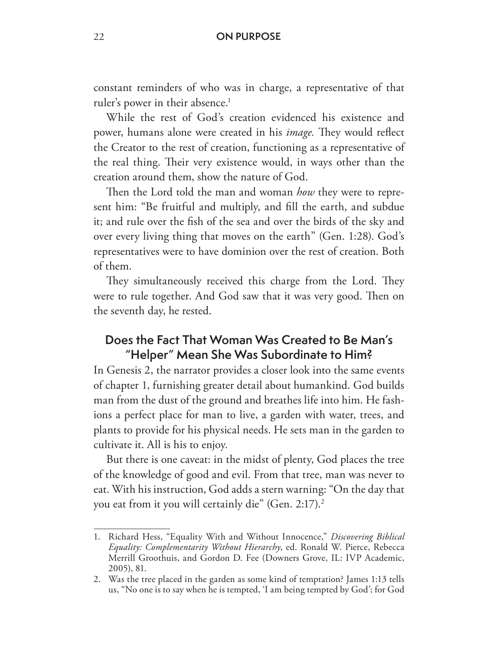constant reminders of who was in charge, a representative of that ruler's power in their absence.<sup>1</sup>

While the rest of God's creation evidenced his existence and power, humans alone were created in his *image*. They would reflect the Creator to the rest of creation, functioning as a representative of the real thing. Their very existence would, in ways other than the creation around them, show the nature of God.

Then the Lord told the man and woman *how* they were to represent him: "Be fruitful and multiply, and fill the earth, and subdue it; and rule over the fish of the sea and over the birds of the sky and over every living thing that moves on the earth" (Gen. 1:28). God's representatives were to have dominion over the rest of creation. Both of them.

They simultaneously received this charge from the Lord. They were to rule together. And God saw that it was very good. Then on the seventh day, he rested.

# **Does the Fact That Woman Was Created to Be Man's "Helper" Mean She Was Subordinate to Him?**

In Genesis 2, the narrator provides a closer look into the same events of chapter 1, furnishing greater detail about humankind. God builds man from the dust of the ground and breathes life into him. He fashions a perfect place for man to live, a garden with water, trees, and plants to provide for his physical needs. He sets man in the garden to cultivate it. All is his to enjoy.

But there is one caveat: in the midst of plenty, God places the tree of the knowledge of good and evil. From that tree, man was never to eat. With his instruction, God adds a stern warning: "On the day that you eat from it you will certainly die" (Gen. 2:17).<sup>2</sup>

<sup>1.</sup> Richard Hess, "Equality With and Without Innocence," *Discovering Biblical Equality: Complementarity Without Hierarchy*, ed. Ronald W. Pierce, Rebecca Merrill Groothuis, and Gordon D. Fee (Downers Grove, IL: IVP Academic, 2005), 81.

<sup>2.</sup> Was the tree placed in the garden as some kind of temptation? James 1:13 tells us, "No one is to say when he is tempted, 'I am being tempted by God'; for God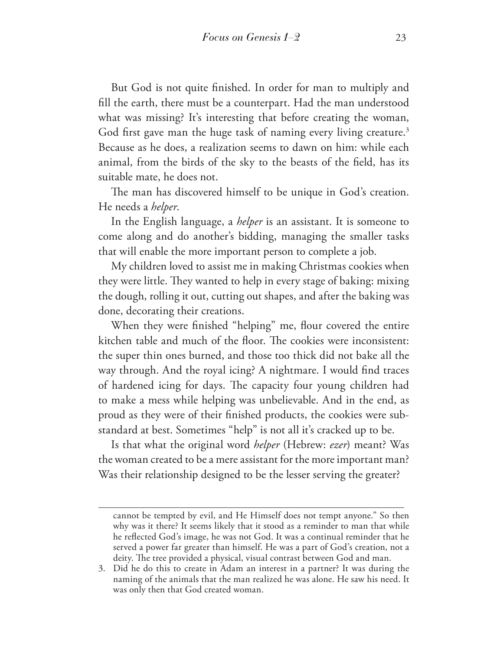But God is not quite finished. In order for man to multiply and fill the earth, there must be a counterpart. Had the man understood what was missing? It's interesting that before creating the woman, God first gave man the huge task of naming every living creature.<sup>3</sup> Because as he does, a realization seems to dawn on him: while each animal, from the birds of the sky to the beasts of the field, has its suitable mate, he does not.

The man has discovered himself to be unique in God's creation. He needs a *helper*.

In the English language, a *helper* is an assistant. It is someone to come along and do another's bidding, managing the smaller tasks that will enable the more important person to complete a job.

My children loved to assist me in making Christmas cookies when they were little. They wanted to help in every stage of baking: mixing the dough, rolling it out, cutting out shapes, and after the baking was done, decorating their creations.

When they were finished "helping" me, flour covered the entire kitchen table and much of the floor. The cookies were inconsistent: the super thin ones burned, and those too thick did not bake all the way through. And the royal icing? A nightmare. I would find traces of hardened icing for days. The capacity four young children had to make a mess while helping was unbelievable. And in the end, as proud as they were of their finished products, the cookies were substandard at best. Sometimes "help" is not all it's cracked up to be.

Is that what the original word *helper* (Hebrew: *ezer*) meant? Was the woman created to be a mere assistant for the more important man? Was their relationship designed to be the lesser serving the greater?

cannot be tempted by evil, and He Himself does not tempt anyone." So then why was it there? It seems likely that it stood as a reminder to man that while he reflected God's image, he was not God. It was a continual reminder that he served a power far greater than himself. He was a part of God's creation, not a deity. The tree provided a physical, visual contrast between God and man.

<sup>3.</sup> Did he do this to create in Adam an interest in a partner? It was during the naming of the animals that the man realized he was alone. He saw his need. It was only then that God created woman.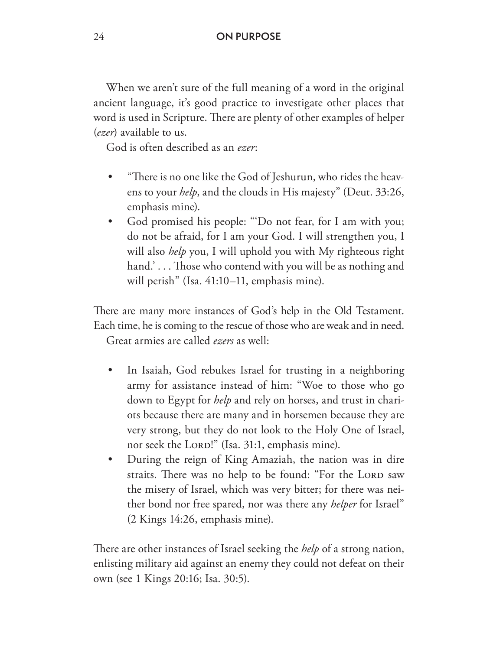24 **ON PURPOSE**

When we aren't sure of the full meaning of a word in the original ancient language, it's good practice to investigate other places that word is used in Scripture. There are plenty of other examples of helper (*ezer*) available to us.

God is often described as an *ezer*:

- "There is no one like the God of Jeshurun, who rides the heavens to your *help*, and the clouds in His majesty" (Deut. 33:26, emphasis mine).
- God promised his people: "Do not fear, for I am with you; do not be afraid, for I am your God. I will strengthen you, I will also *help* you, I will uphold you with My righteous right hand.'  $\ldots$  Those who contend with you will be as nothing and will perish" (Isa. 41:10–11, emphasis mine).

There are many more instances of God's help in the Old Testament. Each time, he is coming to the rescue of those who are weak and in need.

Great armies are called *ezers* as well:

- In Isaiah, God rebukes Israel for trusting in a neighboring army for assistance instead of him: "Woe to those who go down to Egypt for *help* and rely on horses, and trust in chariots because there are many and in horsemen because they are very strong, but they do not look to the Holy One of Israel, nor seek the Lord!" (Isa. 31:1, emphasis mine).
- During the reign of King Amaziah, the nation was in dire straits. There was no help to be found: "For the LORD saw the misery of Israel, which was very bitter; for there was neither bond nor free spared, nor was there any *helper* for Israel" (2 Kings 14:26, emphasis mine).

There are other instances of Israel seeking the *help* of a strong nation, enlisting military aid against an enemy they could not defeat on their own (see 1 Kings 20:16; Isa. 30:5).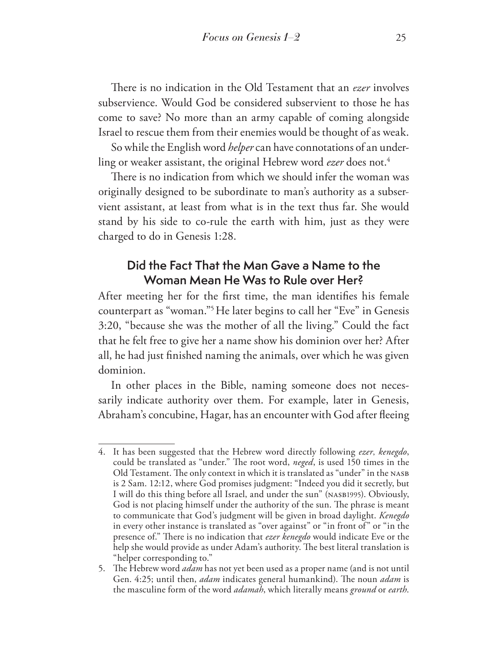There is no indication in the Old Testament that an *ezer* involves subservience. Would God be considered subservient to those he has come to save? No more than an army capable of coming alongside Israel to rescue them from their enemies would be thought of as weak.

So while the English word *helper* can have connotations of an underling or weaker assistant, the original Hebrew word *ezer* does not.<sup>4</sup>

There is no indication from which we should infer the woman was originally designed to be subordinate to man's authority as a subservient assistant, at least from what is in the text thus far. She would stand by his side to co-rule the earth with him, just as they were charged to do in Genesis 1:28.

# **Did the Fact That the Man Gave a Name to the Woman Mean He Was to Rule over Her?**

After meeting her for the first time, the man identifies his female counterpart as "woman."<sup>5</sup>He later begins to call her "Eve" in Genesis 3:20, "because she was the mother of all the living." Could the fact that he felt free to give her a name show his dominion over her? After all, he had just finished naming the animals, over which he was given dominion.

In other places in the Bible, naming someone does not necessarily indicate authority over them. For example, later in Genesis, Abraham's concubine, Hagar, has an encounter with God after fleeing

<sup>4.</sup> It has been suggested that the Hebrew word directly following *ezer*, *kenegdo*, could be translated as "under." The root word, *neged*, is used 150 times in the Old Testament. The only context in which it is translated as "under" in the NASB is 2 Sam. 12:12, where God promises judgment: "Indeed you did it secretly, but I will do this thing before all Israel, and under the sun" (nasb1995). Obviously, God is not placing himself under the authority of the sun. The phrase is meant to communicate that God's judgment will be given in broad daylight. *Kenegdo* in every other instance is translated as "over against" or "in front of" or "in the presence of." There is no indication that *ezer kenegdo* would indicate Eve or the help she would provide as under Adam's authority. The best literal translation is "helper corresponding to."

<sup>5.</sup> The Hebrew word *adam* has not yet been used as a proper name (and is not until Gen. 4:25; until then, *adam* indicates general humankind). The noun *adam* is the masculine form of the word *adamah*, which literally means *ground* or *earth*.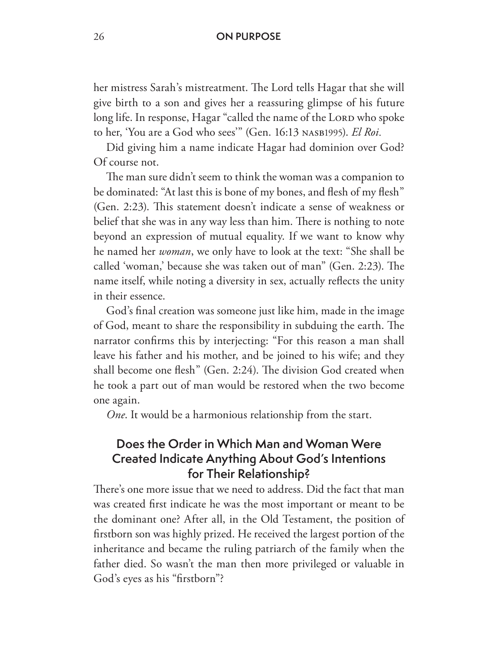her mistress Sarah's mistreatment. The Lord tells Hagar that she will give birth to a son and gives her a reassuring glimpse of his future long life. In response, Hagar "called the name of the LORD who spoke to her, 'You are a God who sees'" (Gen. 16:13 nasb1995). *El Roi*.

Did giving him a name indicate Hagar had dominion over God? Of course not.

The man sure didn't seem to think the woman was a companion to be dominated: "At last this is bone of my bones, and flesh of my flesh" (Gen. 2:23). This statement doesn't indicate a sense of weakness or belief that she was in any way less than him. There is nothing to note beyond an expression of mutual equality. If we want to know why he named her *woman*, we only have to look at the text: "She shall be called 'woman,' because she was taken out of man" (Gen. 2:23). The name itself, while noting a diversity in sex, actually reflects the unity in their essence.

God's final creation was someone just like him, made in the image of God, meant to share the responsibility in subduing the earth. The narrator confirms this by interjecting: "For this reason a man shall leave his father and his mother, and be joined to his wife; and they shall become one flesh" (Gen. 2:24). The division God created when he took a part out of man would be restored when the two become one again.

*One*. It would be a harmonious relationship from the start.

# **Does the Order in Which Man and Woman Were Created Indicate Anything About God's Intentions for Their Relationship?**

There's one more issue that we need to address. Did the fact that man was created first indicate he was the most important or meant to be the dominant one? After all, in the Old Testament, the position of firstborn son was highly prized. He received the largest portion of the inheritance and became the ruling patriarch of the family when the father died. So wasn't the man then more privileged or valuable in God's eyes as his "firstborn"?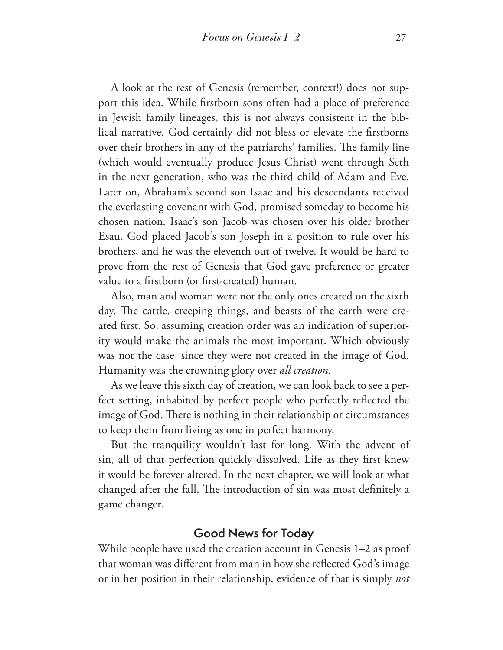A look at the rest of Genesis (remember, context!) does not support this idea. While firstborn sons often had a place of preference in Jewish family lineages, this is not always consistent in the biblical narrative. God certainly did not bless or elevate the firstborns over their brothers in any of the patriarchs' families. The family line (which would eventually produce Jesus Christ) went through Seth in the next generation, who was the third child of Adam and Eve. Later on, Abraham's second son Isaac and his descendants received the everlasting covenant with God, promised someday to become his chosen nation. Isaac's son Jacob was chosen over his older brother Esau. God placed Jacob's son Joseph in a position to rule over his brothers, and he was the eleventh out of twelve. It would be hard to prove from the rest of Genesis that God gave preference or greater value to a firstborn (or first-created) human.

Also, man and woman were not the only ones created on the sixth day. The cattle, creeping things, and beasts of the earth were created first. So, assuming creation order was an indication of superiority would make the animals the most important. Which obviously was not the case, since they were not created in the image of God. Humanity was the crowning glory over *all creation*.

As we leave this sixth day of creation, we can look back to see a perfect setting, inhabited by perfect people who perfectly reflected the image of God. There is nothing in their relationship or circumstances to keep them from living as one in perfect harmony.

But the tranquility wouldn't last for long. With the advent of sin, all of that perfection quickly dissolved. Life as they first knew it would be forever altered. In the next chapter, we will look at what changed after the fall. The introduction of sin was most definitely a game changer.

# **Good News for Today**

While people have used the creation account in Genesis 1–2 as proof that woman was different from man in how she reflected God's image or in her position in their relationship, evidence of that is simply *not*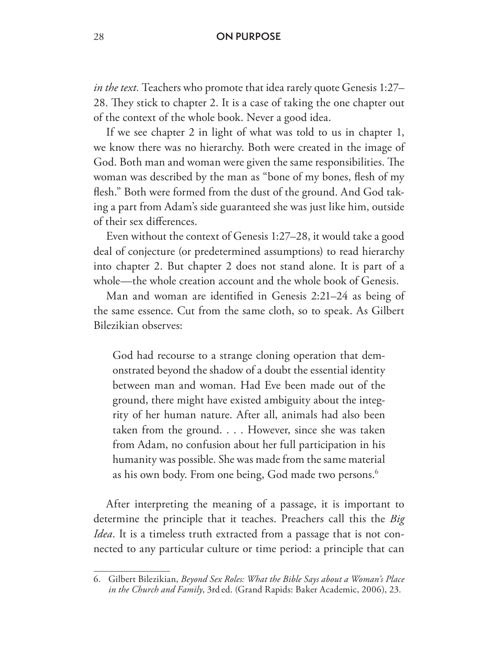# 28 **ON PURPOSE**

*in the text.* Teachers who promote that idea rarely quote Genesis 1:27– 28. They stick to chapter 2. It is a case of taking the one chapter out of the context of the whole book. Never a good idea.

If we see chapter 2 in light of what was told to us in chapter 1, we know there was no hierarchy. Both were created in the image of God. Both man and woman were given the same responsibilities. The woman was described by the man as "bone of my bones, flesh of my flesh." Both were formed from the dust of the ground. And God taking a part from Adam's side guaranteed she was just like him, outside of their sex differences.

Even without the context of Genesis 1:27–28, it would take a good deal of conjecture (or predetermined assumptions) to read hierarchy into chapter 2. But chapter 2 does not stand alone. It is part of a whole—the whole creation account and the whole book of Genesis.

Man and woman are identified in Genesis 2:21–24 as being of the same essence. Cut from the same cloth, so to speak. As Gilbert Bilezikian observes:

God had recourse to a strange cloning operation that demonstrated beyond the shadow of a doubt the essential identity between man and woman. Had Eve been made out of the ground, there might have existed ambiguity about the integrity of her human nature. After all, animals had also been taken from the ground. . . . However, since she was taken from Adam, no confusion about her full participation in his humanity was possible. She was made from the same material as his own body. From one being, God made two persons.<sup>6</sup>

After interpreting the meaning of a passage, it is important to determine the principle that it teaches. Preachers call this the *Big Idea*. It is a timeless truth extracted from a passage that is not connected to any particular culture or time period: a principle that can

<sup>6.</sup> Gilbert Bilezikian, *Beyond Sex Roles: What the Bible Says about a Woman's Place in the Church and Family*, 3rd ed. (Grand Rapids: Baker Academic, 2006), 23.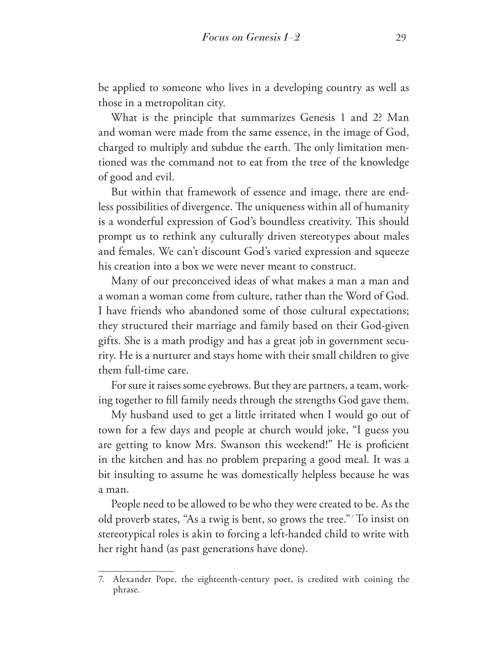be applied to someone who lives in a developing country as well as those in a metropolitan city.

What is the principle that summarizes Genesis 1 and 2? Man and woman were made from the same essence, in the image of God, charged to multiply and subdue the earth. The only limitation mentioned was the command not to eat from the tree of the knowledge of good and evil.

But within that framework of essence and image, there are endless possibilities of divergence. The uniqueness within all of humanity is a wonderful expression of God's boundless creativity. This should prompt us to rethink any culturally driven stereotypes about males and females. We can't discount God's varied expression and squeeze his creation into a box we were never meant to construct.

Many of our preconceived ideas of what makes a man a man and a woman a woman come from culture, rather than the Word of God. I have friends who abandoned some of those cultural expectations; they structured their marriage and family based on their God-given gifts. She is a math prodigy and has a great job in government security. He is a nurturer and stays home with their small children to give them full-time care.

For sure it raises some eyebrows. But they are partners, a team, working together to fill family needs through the strengths God gave them.

My husband used to get a little irritated when I would go out of town for a few days and people at church would joke, "I guess you are getting to know Mrs. Swanson this weekend!" He is proficient in the kitchen and has no problem preparing a good meal. It was a bit insulting to assume he was domestically helpless because he was a man.

People need to be allowed to be who they were created to be. As the old proverb states, "As a twig is bent, so grows the tree."<sup>7</sup>To insist on stereotypical roles is akin to forcing a left-handed child to write with her right hand (as past generations have done).

<sup>7.</sup> Alexander Pope, the eighteenth-century poet, is credited with coining the phrase.